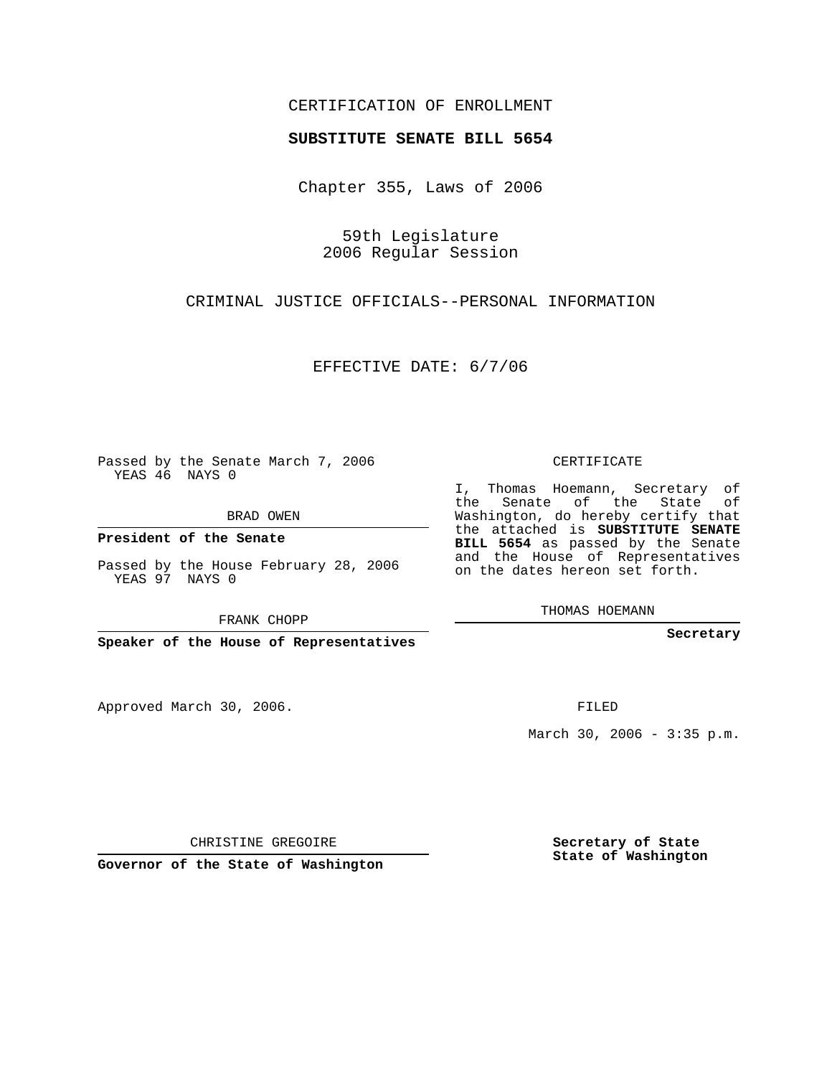## CERTIFICATION OF ENROLLMENT

## **SUBSTITUTE SENATE BILL 5654**

Chapter 355, Laws of 2006

59th Legislature 2006 Regular Session

CRIMINAL JUSTICE OFFICIALS--PERSONAL INFORMATION

EFFECTIVE DATE: 6/7/06

Passed by the Senate March 7, 2006 YEAS 46 NAYS 0

BRAD OWEN

**President of the Senate**

Passed by the House February 28, 2006 YEAS 97 NAYS 0

FRANK CHOPP

**Speaker of the House of Representatives**

Approved March 30, 2006.

CERTIFICATE

I, Thomas Hoemann, Secretary of the Senate of the State of Washington, do hereby certify that the attached is **SUBSTITUTE SENATE BILL 5654** as passed by the Senate and the House of Representatives on the dates hereon set forth.

THOMAS HOEMANN

**Secretary**

FILED

March 30, 2006 - 3:35 p.m.

CHRISTINE GREGOIRE

**Governor of the State of Washington**

**Secretary of State State of Washington**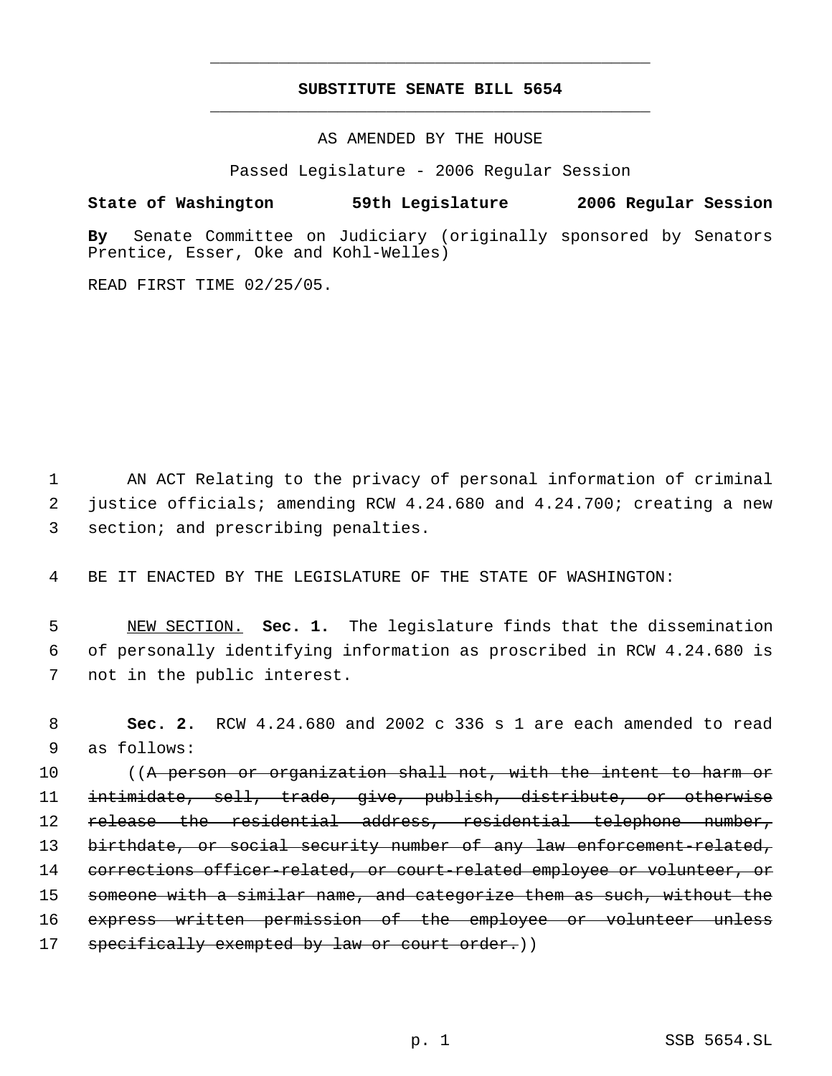## **SUBSTITUTE SENATE BILL 5654** \_\_\_\_\_\_\_\_\_\_\_\_\_\_\_\_\_\_\_\_\_\_\_\_\_\_\_\_\_\_\_\_\_\_\_\_\_\_\_\_\_\_\_\_\_

\_\_\_\_\_\_\_\_\_\_\_\_\_\_\_\_\_\_\_\_\_\_\_\_\_\_\_\_\_\_\_\_\_\_\_\_\_\_\_\_\_\_\_\_\_

AS AMENDED BY THE HOUSE

Passed Legislature - 2006 Regular Session

## **State of Washington 59th Legislature 2006 Regular Session**

**By** Senate Committee on Judiciary (originally sponsored by Senators Prentice, Esser, Oke and Kohl-Welles)

READ FIRST TIME 02/25/05.

 1 AN ACT Relating to the privacy of personal information of criminal 2 justice officials; amending RCW 4.24.680 and 4.24.700; creating a new 3 section; and prescribing penalties.

4 BE IT ENACTED BY THE LEGISLATURE OF THE STATE OF WASHINGTON:

 5 NEW SECTION. **Sec. 1.** The legislature finds that the dissemination 6 of personally identifying information as proscribed in RCW 4.24.680 is 7 not in the public interest.

 8 **Sec. 2.** RCW 4.24.680 and 2002 c 336 s 1 are each amended to read 9 as follows:

10 ((A person or organization shall not, with the intent to harm or 11 intimidate, sell, trade, give, publish, distribute, or otherwise 12 release the residential address, residential telephone number, 13 birthdate, or social security number of any law enforcement-related, 14 corrections officer-related, or court-related employee or volunteer, or 15 someone with a similar name, and categorize them as such, without the 16 express written permission of the employee or volunteer unless 17 specifically exempted by law or court order.))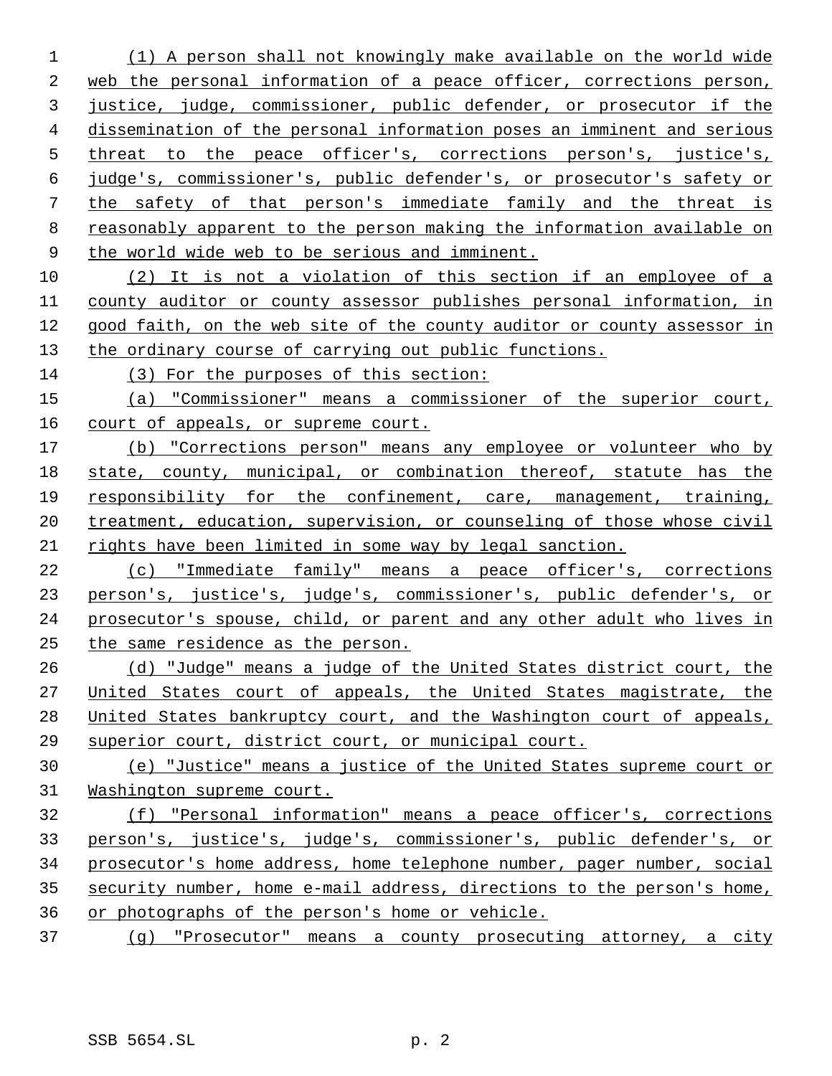(1) A person shall not knowingly make available on the world wide web the personal information of a peace officer, corrections person, justice, judge, commissioner, public defender, or prosecutor if the dissemination of the personal information poses an imminent and serious threat to the peace officer's, corrections person's, justice's, judge's, commissioner's, public defender's, or prosecutor's safety or the safety of that person's immediate family and the threat is reasonably apparent to the person making the information available on 9 the world wide web to be serious and imminent.

 (2) It is not a violation of this section if an employee of a county auditor or county assessor publishes personal information, in good faith, on the web site of the county auditor or county assessor in the ordinary course of carrying out public functions.

(3) For the purposes of this section:

 (a) "Commissioner" means a commissioner of the superior court, 16 court of appeals, or supreme court.

 (b) "Corrections person" means any employee or volunteer who by state, county, municipal, or combination thereof, statute has the 19 responsibility for the confinement, care, management, training, 20 treatment, education, supervision, or counseling of those whose civil rights have been limited in some way by legal sanction.

22 (c) "Immediate family" means a peace officer's, corrections person's, justice's, judge's, commissioner's, public defender's, or prosecutor's spouse, child, or parent and any other adult who lives in the same residence as the person.

 (d) "Judge" means a judge of the United States district court, the 27 United States court of appeals, the United States magistrate, the United States bankruptcy court, and the Washington court of appeals, superior court, district court, or municipal court.

 (e) "Justice" means a justice of the United States supreme court or Washington supreme court.

 (f) "Personal information" means a peace officer's, corrections person's, justice's, judge's, commissioner's, public defender's, or prosecutor's home address, home telephone number, pager number, social security number, home e-mail address, directions to the person's home, or photographs of the person's home or vehicle.

(g) "Prosecutor" means a county prosecuting attorney, a city